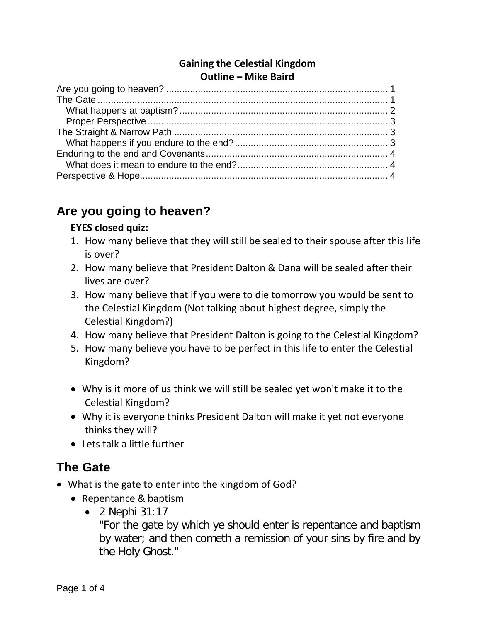#### **Gaining the Celestial Kingdom Outline – Mike Baird**

# <span id="page-0-0"></span>**Are you going to heaven?**

#### **EYES closed quiz:**

- 1. How many believe that they will still be sealed to their spouse after this life is over?
- 2. How many believe that President Dalton & Dana will be sealed after their lives are over?
- 3. How many believe that if you were to die tomorrow you would be sent to the Celestial Kingdom (Not talking about highest degree, simply the Celestial Kingdom?)
- 4. How many believe that President Dalton is going to the Celestial Kingdom?
- 5. How many believe you have to be perfect in this life to enter the Celestial Kingdom?
- Why is it more of us think we will still be sealed yet won't make it to the Celestial Kingdom?
- Why it is everyone thinks President Dalton will make it yet not everyone thinks they will?
- Lets talk a little further

# <span id="page-0-1"></span>**The Gate**

- What is the gate to enter into the kingdom of God?
	- Repentance & baptism
		- 2 Nephi 31:17

"For the gate by which ye should enter is repentance and baptism by water; and then cometh a remission of your sins by fire and by the Holy Ghost."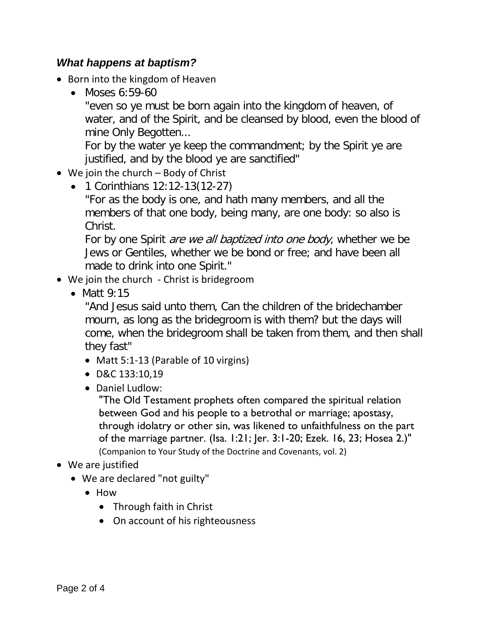#### <span id="page-1-0"></span>*What happens at baptism?*

- Born into the kingdom of Heaven
	- Moses 6:59-60

"even so ye must be born again into the kingdom of heaven, of water, and of the Spirit, and be cleansed by blood, even the blood of mine Only Begotten...

For by the water ye keep the commandment; by the Spirit ye are justified, and by the blood ye are sanctified"

- We join the church Body of Christ
	- 1 Corinthians 12:12-13(12-27)

"For as the body is one, and hath many members, and all the members of that one body, being many, are one body: so also is Christ.

For by one Spirit *are we all baptized into one body*, whether we be Jews or Gentiles, whether we be bond or free; and have been all made to drink into one Spirit."

- We join the church Christ is bridegroom
	- Matt 9:15

"And Jesus said unto them, Can the children of the bridechamber mourn, as long as the bridegroom is with them? but the days will come, when the bridegroom shall be taken from them, and then shall they fast"

- Matt 5:1-13 (Parable of 10 virgins)
- D&C 133:10,19
- Daniel Ludlow:

"The Old Testament prophets often compared the spiritual relation between God and his people to a betrothal or marriage; apostasy, through idolatry or other sin, was likened to unfaithfulness on the part of the marriage partner. (Isa. 1:21; Jer. 3:1-20; Ezek. 16, 23; Hosea 2.)" (Companion to Your Study of the Doctrine and Covenants, vol. 2)

- We are justified
	- We are declared "not guilty"
		- How
			- Through faith in Christ
			- On account of his righteousness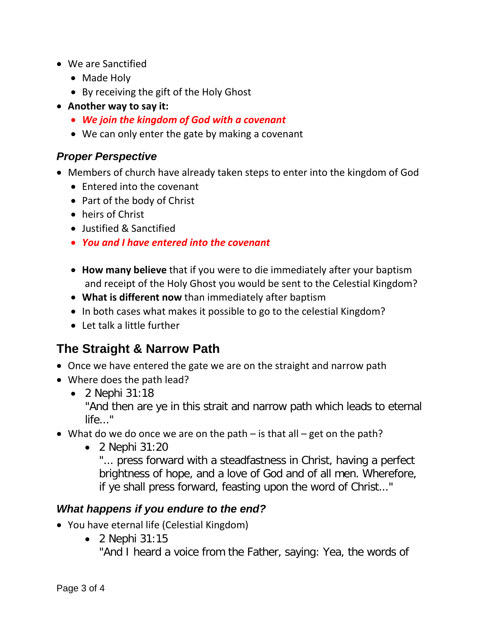- We are Sanctified
	- Made Holy
	- By receiving the gift of the Holy Ghost
- **Another way to say it:**
	- *We join the kingdom of God with a covenant*
	- We can only enter the gate by making a covenant

#### <span id="page-2-0"></span>*Proper Perspective*

- Members of church have already taken steps to enter into the kingdom of God
	- Entered into the covenant
	- Part of the body of Christ
	- heirs of Christ
	- Justified & Sanctified
	- *You and I have entered into the covenant*
	- **How many believe** that if you were to die immediately after your baptism and receipt of the Holy Ghost you would be sent to the Celestial Kingdom?
	- **What is different now** than immediately after baptism
	- In both cases what makes it possible to go to the celestial Kingdom?
	- Let talk a little further

# <span id="page-2-1"></span>**The Straight & Narrow Path**

- Once we have entered the gate we are on the straight and narrow path
- Where does the path lead?
	- 2 Nephi 31:18

"And then are ye in this strait and narrow path which leads to eternal life..."

- What do we do once we are on the path is that all get on the path?
	- 2 Nephi 31:20

"... press forward with a steadfastness in Christ, having a perfect brightness of hope, and a love of God and of all men. Wherefore, if ye shall press forward, feasting upon the word of Christ..."

### <span id="page-2-2"></span>*What happens if you endure to the end?*

- You have eternal life (Celestial Kingdom)
	- 2 Nephi 31:15

"And I heard a voice from the Father, saying: Yea, the words of